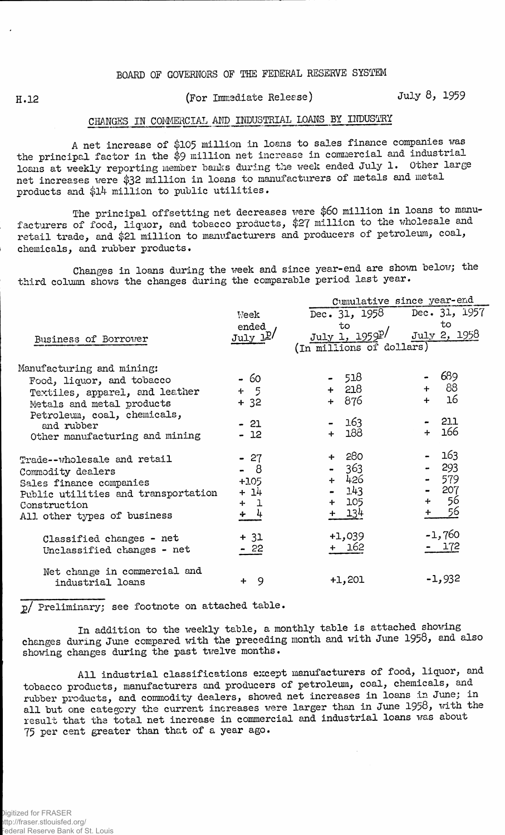## **BOARD OF GOVERNORS OF THE FEDERAL RESERVE SYSTEM**

## H.12 **(For Immediate Release)** July 8, 1959

## CHANGES IN COMMERCIAL AND INDUSTRIAL LOANS BY INDUSTRY

A net increase of \$105 million in loans to sales finance companies was the principal factor in the \$9 million net increase in commercial and industrial loans at weekly reporting member banks during the week ended July 1. Other large net increases were \$32 million in loans to manufacturers of metals and metal products and \$l4 million to public utilities.

The principal offsetting net decreases were \$60 million in loans to manufacturers of food, liquor, and tobacco products, \$27 million to the wholesale and retail trade, and \$21 million to manufacturers and producers of petroleum, coal, chemicals, and rubber products.

Changes in loans during the week and since year-end are shown below; the third column shows the changes during the comparable period last year.

|                                                                                                                                                                                                      |                                                  | Cumulative since year-end                                           |                                                     |  |  |  |  |
|------------------------------------------------------------------------------------------------------------------------------------------------------------------------------------------------------|--------------------------------------------------|---------------------------------------------------------------------|-----------------------------------------------------|--|--|--|--|
| Business of Borrower                                                                                                                                                                                 | Week<br>ended<br>July 1 <sup>p</sup>             | Dec. $31, 1958$<br>to<br>July 1, 1959P/<br>(In millions of dollars) | Dec. 31, 1957<br>to<br>July 2, 1958                 |  |  |  |  |
| Manufacturing and mining:<br>Food, liquor, and tobacco<br>Textiles, apparel, and leather<br>Metals and metal products<br>Petroleum, coal, chemicals,<br>and rubber<br>Other manufacturing and mining | - 60<br>$+$ 5<br>$+32$<br>$-21$<br>$-12$         | - 518<br>$+ 218$<br>+ 876<br>163 <sup>°</sup><br>188<br>$+$         | 689<br>88<br>$+$<br>16<br>$-211$<br>+ 166           |  |  |  |  |
| Trade--wholesale and retail<br>Commodity dealers<br>Sales finance companies<br>Public utilities and transportation<br>Construction<br>All other types of business                                    | $-27$<br>- 8<br>$+105$<br>$+14$<br>$+1$<br>$+ 4$ | -280<br>363<br>$+ 426$<br>143<br>105<br>+ 134                       | 163<br>$-293$<br>579<br>207<br>56<br>$+$<br>56<br>╇ |  |  |  |  |
| Classified changes - net<br>Unclassified changes - net                                                                                                                                               | $+ 31$<br>$-22$                                  | $+1,039$<br>162                                                     | $-1,760$<br>172                                     |  |  |  |  |
| Net change in commercial and<br>industrial loans                                                                                                                                                     | 9<br>╇                                           | $+1,201$                                                            | $-1,932$                                            |  |  |  |  |

2/ Preliminary; see footnote on attached table.

In addition to the weekly table, a monthly table is attached showing changes during June compared with the preceding month and with June 1958, and also showing changes during the past twelve months.

All industrial classifications except manufacturers of food, liquor, and tobacco products, manufacturers and producers of petroleum, coal, chemicals, and rubber products, and commodity dealers, showed net increases in loans in June; in all but one category the current increases were larger than in June 1958, with the result that the total net increase in commercial and industrial loans was about 75 per cent greater than that of a year ago.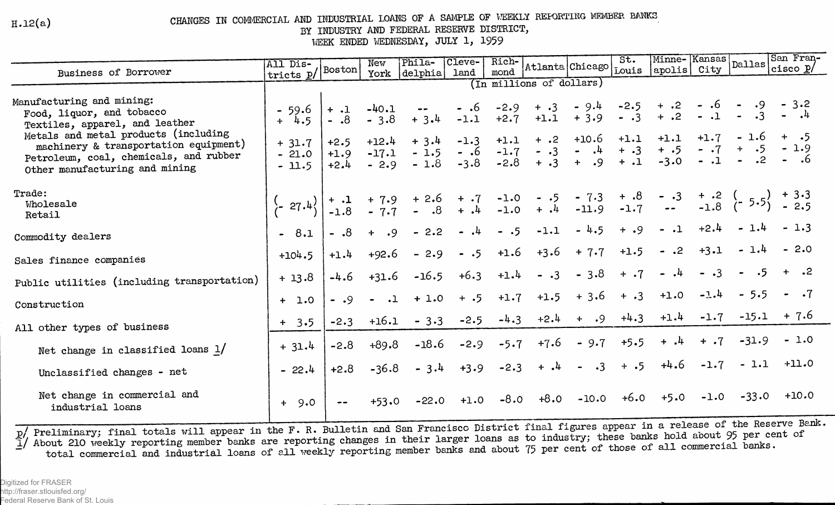$H.12(a)$ 

CHANGES IN COMMERCIAL AND INDUSTRIAL LOANS OF A SAMPLE OF VEEKLY REFORTING MEMBER BANKS

BY INDUSTRY AND FEDERAL RESERVE DISTRICT,

WEEK ENDED WEDNESDAY, JULY 1, 1959

| Business of Borrower                                                                                                                                                                                                | All Dis-                                                                                                                                                        |                                      | New                                     | Phila-                                                                                                                                    | Cleve-<br>land                              | Rich-<br>mond                                  |                                       |                                                           |                             |                                                     |                |                                                             |                                 |
|---------------------------------------------------------------------------------------------------------------------------------------------------------------------------------------------------------------------|-----------------------------------------------------------------------------------------------------------------------------------------------------------------|--------------------------------------|-----------------------------------------|-------------------------------------------------------------------------------------------------------------------------------------------|---------------------------------------------|------------------------------------------------|---------------------------------------|-----------------------------------------------------------|-----------------------------|-----------------------------------------------------|----------------|-------------------------------------------------------------|---------------------------------|
|                                                                                                                                                                                                                     | Atlanta Chicago 5t. Minne-Kansas Dallas San Fran-<br>$\frac{1}{\text{tricts}} p / \left  \text{Boston} \right $<br> delpha <br>York<br>(In millions of dollars) |                                      |                                         |                                                                                                                                           |                                             |                                                |                                       |                                                           |                             |                                                     |                |                                                             |                                 |
| Manufacturing and mining:<br>Food, liquor, and tobacco<br>Textiles, apparel, and leather<br>Metals and metal products (including<br>machinery & transportation equipment)<br>Petroleum, coal, chemicals, and rubber | $-59.6$<br>$+$ 4.5<br>$+ 31.7$<br>$-21.0$                                                                                                                       | $+$ .1<br>$8. -$<br>$+2.5$<br>$+1.9$ | $-40.1$<br>$-3.8$<br>$+12.4$<br>$-17.1$ | $- -$<br>$+3.4$<br>$+3.4$<br>$-1.5$<br>$-1.8$                                                                                             | - .6<br>$-1.1$<br>$-1.3$<br>$-.6$<br>$-3.8$ | $-2.9$<br>$+2.7$<br>$+1.1$<br>$-1.7$<br>$-2.8$ | $+ .3$<br>$+$ .2<br>$- 0.3$<br>$+ .3$ | $-9.4$<br>$+1.1 + 3.9$<br>$+10.6$<br>$-.4$<br>$+ .9 + .1$ | $- 0.3$<br>$+1.1$<br>$+ .3$ | $-2.5 + .2$<br>$+$ .2<br>$+1.1$<br>$+ .5$<br>$-3.0$ | $+1.7$<br>$-1$ | $-.6$ $-.9$ $-.3.2$<br>$-1 - 3$<br>$\bullet$                | $-1.6 + .5$<br>$-.7 + .5 - 1.9$ |
| Other manufacturing and mining                                                                                                                                                                                      | $-11.5$                                                                                                                                                         | $+2.4$                               | $-2.9$                                  |                                                                                                                                           |                                             |                                                |                                       |                                                           |                             |                                                     |                |                                                             |                                 |
| Trade:<br>Wholesale<br>Retail                                                                                                                                                                                       | $\frac{1}{2}$ 27.4                                                                                                                                              |                                      |                                         | + .1 + 7.9 + 2.6 + .7 -1.0 - .5 - 7.3 + .8 - .3 + .2 ( $5.5$ ) + 3.3<br>-1.8 - 7.7 - .8 + .4 -1.0 + .4 -11.9 -1.7 -- -1.8 ( $5.5$ ) - 2.5 |                                             |                                                |                                       |                                                           |                             |                                                     |                |                                                             |                                 |
| Commodity dealers                                                                                                                                                                                                   | $-8.1$                                                                                                                                                          | $- .8$                               | $+$ .9                                  | $-2.2$                                                                                                                                    | $-1$                                        | $-.5$                                          | $-1.1$                                | $-4.5$                                                    | $+ .9$                      | $-1$                                                | $+2.4$         | $-1.4$                                                      |                                 |
| Sales finance companies                                                                                                                                                                                             | $+104.5$                                                                                                                                                        | $+1.4$                               | $+92.6$                                 | $-2.9$                                                                                                                                    | $-.5$                                       | $+1.6$                                         | $+3.6$                                | $+ 7.7$                                                   | $+1.5$                      | $-.2$                                               | $+3.1$         | $-1.4$                                                      | $-2.0$                          |
| Public utilities (including transportation)                                                                                                                                                                         | $+13.8$                                                                                                                                                         | $-4.6$                               | $+31.6$                                 | $-16.5$                                                                                                                                   | $+6.3$                                      | $+1.4$                                         | $- .3$                                | $-3.8$                                                    | $+ .7$                      | $\blacksquare$                                      | $\cdot$ 3      | .5                                                          |                                 |
| Construction                                                                                                                                                                                                        | $+ 1.0$                                                                                                                                                         | $- 0.9$                              | $ -1$                                   | $+1.0$                                                                                                                                    | $+ .5$                                      | $+1.7$                                         | $+1.5$                                | $+3.6$                                                    | $+ .3$                      | $+1.0$                                              | $-1.4$         | $-5.5$                                                      |                                 |
| All other types of business                                                                                                                                                                                         | $+ 3.5$                                                                                                                                                         | $-2.3$                               | $+16.1$                                 | $-3.3$                                                                                                                                    | $-2.5$                                      | $-4.3$                                         | $+2.4$                                | $+$ .9                                                    | $+4.3$                      | $+1.4$                                              | $-1.7$         | $-15.1$                                                     | $+7.6$                          |
| Net change in classified loans $1/$                                                                                                                                                                                 | $+31.4$                                                                                                                                                         | $-2.8$                               | $+89.8$                                 | $-18.6$                                                                                                                                   | $-2.9$                                      | $-5.7$                                         | $+7.6$                                | $-9.7$                                                    | $+5.5$                      | 4<br>$+$                                            | $+$ .7         | $-31.9$                                                     | $-1.0$                          |
| Unclassified changes - net                                                                                                                                                                                          | $-22.4$                                                                                                                                                         | $+2.8$                               | $-36.8$                                 | $-3.4$                                                                                                                                    | $+3.9$                                      | $-2.3$                                         |                                       | $+$ $\cdot$ 4 - $\cdot$ 3                                 | $+ .5$                      | $+4.6$                                              | $-1.7$         | $-1.1$                                                      | $+11.0$                         |
| Net change in commercial and<br>industrial loans                                                                                                                                                                    | $+9.0$                                                                                                                                                          |                                      | $+53.0$                                 | $-22.0$                                                                                                                                   |                                             |                                                | $+1.0$ $-8.0$ $+8.0$                  | $-10.0$                                                   |                             | $+6.0 +5.0$                                         | $-1.0$         | $-33.0$<br>$\sim$ $\sim$ $\sim$ $\sim$ $\sim$ $\sim$ $\sim$ | $+10.0$<br>$-$ neals            |

p/ Preliminary; final totals will appear in the F. R. Bulletin and San Francisco District final figures appear in a release of the Reserve Bank.<br>I/ About 210 weekly reporting member banks are reporting changes in their lar total commercial and industrial loans of all weekly reporting member banks and about 75 per cent of those of all commercial banks.

Digitized for FRASER http://fraser.stlouisfed.org/ Federal Reserve Bank of St. Louis